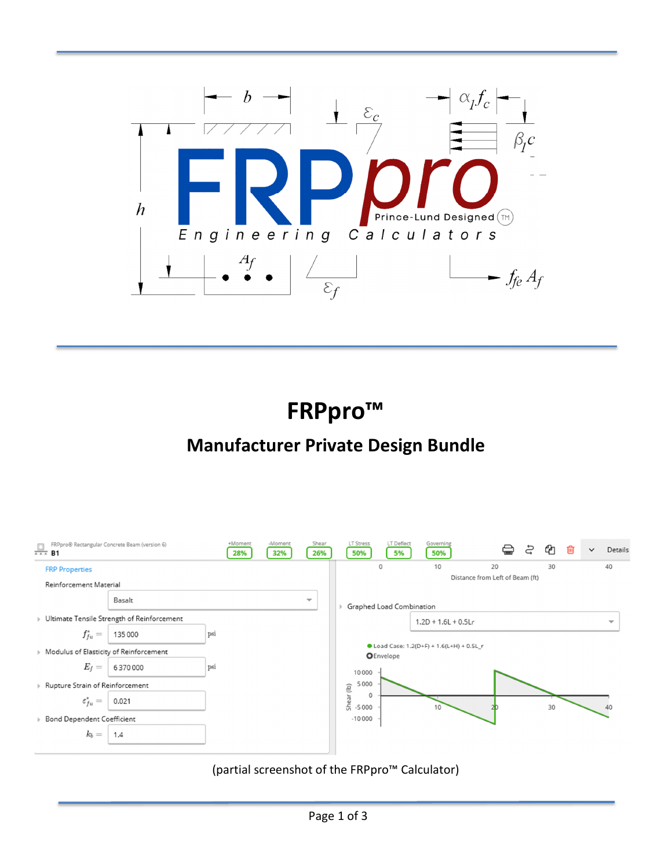

**FRPpro™** 

# **Manufacturer Private Design Bundle**



(partial screenshot of the FRPpro™ Calculator)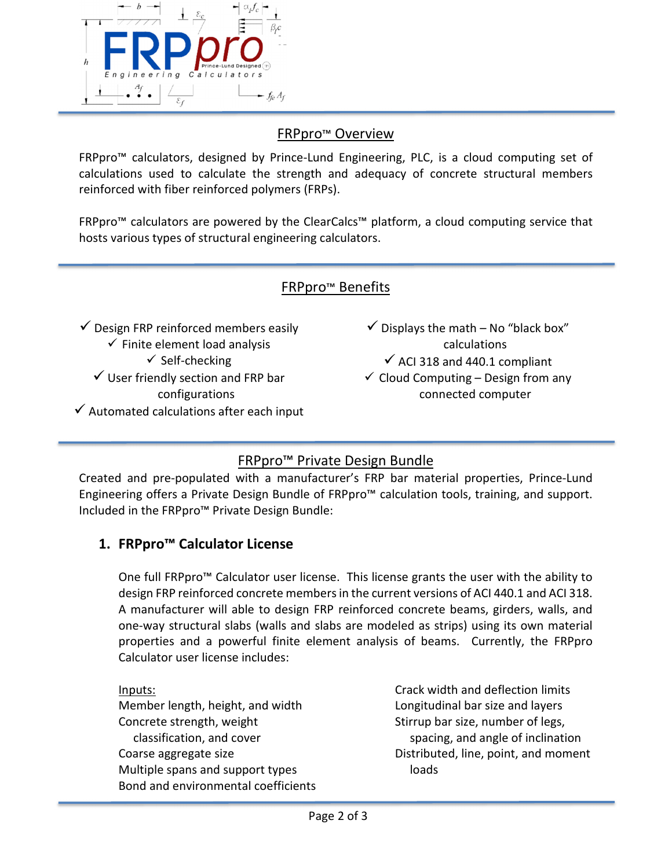

## FRPpro™ Overview

FRPpro™ calculators, designed by Prince-Lund Engineering, PLC, is a cloud computing set of calculations used to calculate the strength and adequacy of concrete structural members reinforced with fiber reinforced polymers (FRPs).

FRPpro™ calculators are powered by the ClearCalcs™ platform, a cloud computing service that hosts various types of structural engineering calculators.

#### FRPpro™ Benefits

 $\checkmark$  Design FRP reinforced members easily

- $\checkmark$  Finite element load analysis
	- $\checkmark$  Self-checking

 $\checkmark$  User friendly section and FRP bar configurations

 $\checkmark$  Automated calculations after each input

- $\checkmark$  Displays the math No "black box" calculations  $\checkmark$  ACI 318 and 440.1 compliant
- $\checkmark$  Cloud Computing Design from any connected computer

## FRPpro™ Private Design Bundle

Created and pre-populated with a manufacturer's FRP bar material properties, Prince-Lund Engineering offers a Private Design Bundle of FRPpro™ calculation tools, training, and support. Included in the FRPpro™ Private Design Bundle:

#### **1. FRPpro™ Calculator License**

One full FRPpro™ Calculator user license. This license grants the user with the ability to design FRP reinforced concrete members in the current versions of ACI 440.1 and ACI 318. A manufacturer will able to design FRP reinforced concrete beams, girders, walls, and one-way structural slabs (walls and slabs are modeled as strips) using its own material properties and a powerful finite element analysis of beams. Currently, the FRPpro Calculator user license includes:

Inputs: Member length, height, and width Concrete strength, weight classification, and cover Coarse aggregate size Multiple spans and support types Bond and environmental coefficients Crack width and deflection limits Longitudinal bar size and layers Stirrup bar size, number of legs, spacing, and angle of inclination Distributed, line, point, and moment loads